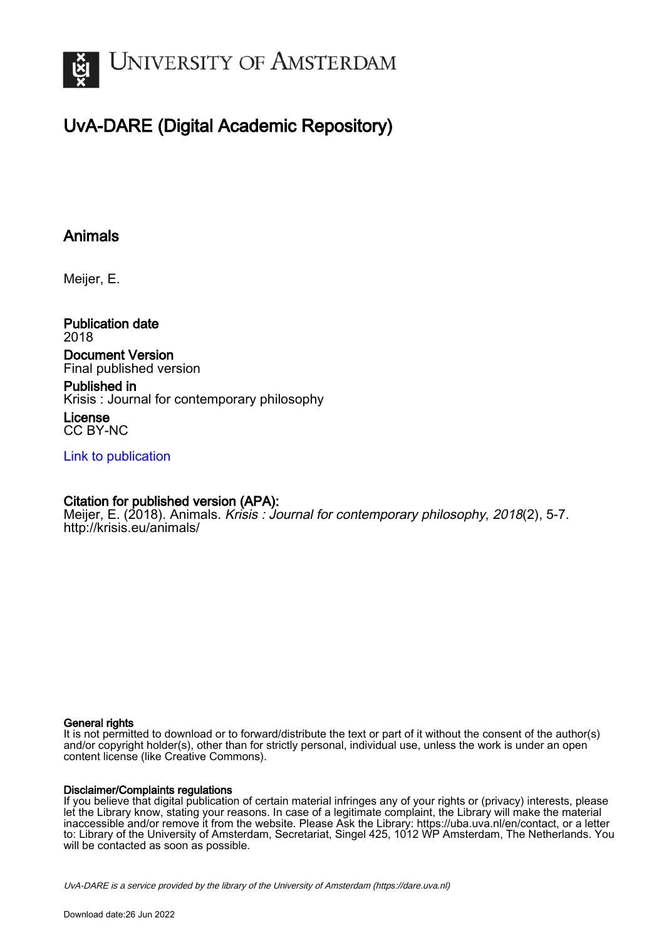

# UvA-DARE (Digital Academic Repository)

## Animals

Meijer, E.

Publication date 2018

#### Document Version Final published version

Published in Krisis : Journal for contemporary philosophy

License CC BY-NC

[Link to publication](https://dare.uva.nl/personal/pure/en/publications/animals(c0069989-687d-454f-9580-db66502ac747).html)

### Citation for published version (APA):

Meijer, E. (2018). Animals. Krisis: Journal for contemporary philosophy, 2018(2), 5-7. <http://krisis.eu/animals/>

#### General rights

It is not permitted to download or to forward/distribute the text or part of it without the consent of the author(s) and/or copyright holder(s), other than for strictly personal, individual use, unless the work is under an open content license (like Creative Commons).

#### Disclaimer/Complaints regulations

If you believe that digital publication of certain material infringes any of your rights or (privacy) interests, please let the Library know, stating your reasons. In case of a legitimate complaint, the Library will make the material inaccessible and/or remove it from the website. Please Ask the Library: https://uba.uva.nl/en/contact, or a letter to: Library of the University of Amsterdam, Secretariat, Singel 425, 1012 WP Amsterdam, The Netherlands. You will be contacted as soon as possible.

UvA-DARE is a service provided by the library of the University of Amsterdam (http*s*://dare.uva.nl)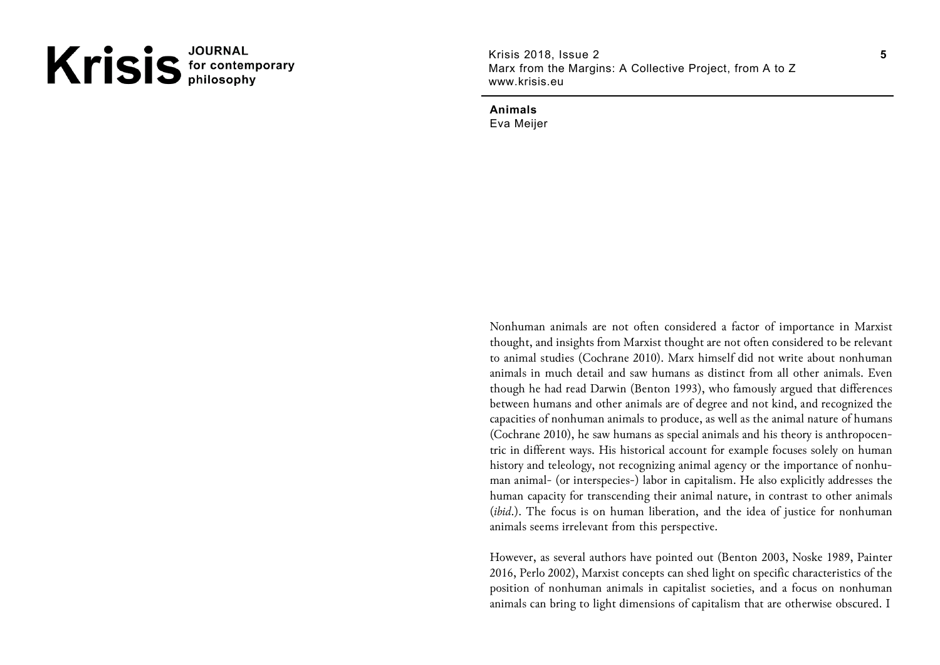# Krisis<sup>JOURNAL</sup>

Krisis 2018, Issue 2 Marx from the Margins: A Collective Project, from A to Z www.krisis.eu

**Animals** Eva Meijer

Nonhuman animals are not often considered a factor of importance in Marxist thought, and insights from Marxist thought are not often considered to be relevant to animal studies (Cochrane 2010). Marx himself did not write about nonhuman animals in much detail and saw humans as distinct from all other animals. Even though he had read Darwin (Benton 1993), who famously argued that differences between humans and other animals are of degree and not kind, and recognized the capacities of nonhuman animals to produce, as well as the animal nature of humans (Cochrane 2010), he saw humans as special animals and his theory is anthropocentric in different ways. His historical account for example focuses solely on human history and teleology, not recognizing animal agency or the importance of nonhuman animal- (or interspecies-) labor in capitalism. He also explicitly addresses the human capacity for transcending their animal nature, in contrast to other animals (*ibid*.). The focus is on human liberation, and the idea of justice for nonhuman animals seems irrelevant from this perspective.

However, as several authors have pointed out (Benton 2003, Noske 1989, Painter 2016, Perlo 2002), Marxist concepts can shed light on specific characteristics of the position of nonhuman animals in capitalist societies, and a focus on nonhuman animals can bring to light dimensions of capitalism that are otherwise obscured. I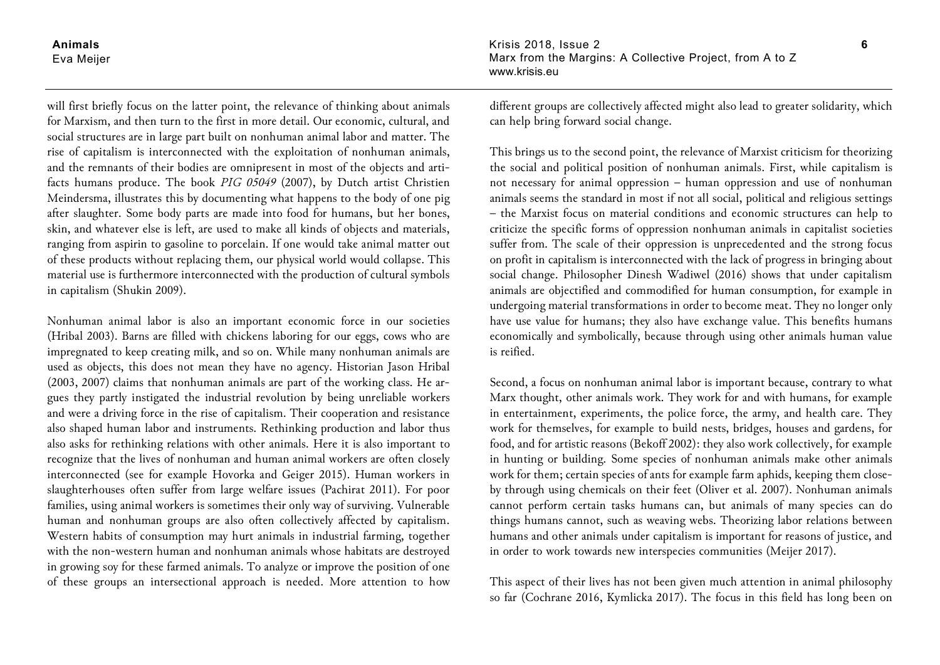**Animals** Eva Meijer

will first briefly focus on the latter point, the relevance of thinking about animals for Marxism, and then turn to the first in more detail. Our economic, cultural, and social structures are in large part built on nonhuman animal labor and matter. The rise of capitalism is interconnected with the exploitation of nonhuman animals, and the remnants of their bodies are omnipresent in most of the objects and artifacts humans produce. The book *PIG 05049* (2007), by Dutch artist Christien Meindersma, illustrates this by documenting what happens to the body of one pig after slaughter. Some body parts are made into food for humans, but her bones, skin, and whatever else is left, are used to make all kinds of objects and materials, ranging from aspirin to gasoline to porcelain. If one would take animal matter out of these products without replacing them, our physical world would collapse. This material use is furthermore interconnected with the production of cultural symbols in capitalism (Shukin 2009).

Nonhuman animal labor is also an important economic force in our societies (Hribal 2003). Barns are filled with chickens laboring for our eggs, cows who are impregnated to keep creating milk, and so on. While many nonhuman animals are used as objects, this does not mean they have no agency. Historian Jason Hribal (2003, 2007) claims that nonhuman animals are part of the working class. He argues they partly instigated the industrial revolution by being unreliable workers and were a driving force in the rise of capitalism. Their cooperation and resistance also shaped human labor and instruments. Rethinking production and labor thus also asks for rethinking relations with other animals. Here it is also important to recognize that the lives of nonhuman and human animal workers are often closely interconnected (see for example Hovorka and Geiger 2015). Human workers in slaughterhouses often suffer from large welfare issues (Pachirat 2011). For poor families, using animal workers is sometimes their only way of surviving. Vulnerable human and nonhuman groups are also often collectively affected by capitalism. Western habits of consumption may hurt animals in industrial farming, together with the non-western human and nonhuman animals whose habitats are destroyed in growing soy for these farmed animals. To analyze or improve the position of one of these groups an intersectional approach is needed. More attention to how Krisis 2018, Issue 2 Marx from the Margins: A Collective Project, from A to Z www.krisis.eu

different groups are collectively affected might also lead to greater solidarity, which can help bring forward social change.

This brings us to the second point, the relevance of Marxist criticism for theorizing the social and political position of nonhuman animals. First, while capitalism is not necessary for animal oppression – human oppression and use of nonhuman animals seems the standard in most if not all social, political and religious settings – the Marxist focus on material conditions and economic structures can help to criticize the specific forms of oppression nonhuman animals in capitalist societies suffer from. The scale of their oppression is unprecedented and the strong focus on profit in capitalism is interconnected with the lack of progress in bringing about social change. Philosopher Dinesh Wadiwel (2016) shows that under capitalism animals are objectified and commodified for human consumption, for example in undergoing material transformations in order to become meat. They no longer only have use value for humans; they also have exchange value. This benefits humans economically and symbolically, because through using other animals human value is reified.

Second, a focus on nonhuman animal labor is important because, contrary to what Marx thought, other animals work. They work for and with humans, for example in entertainment, experiments, the police force, the army, and health care. They work for themselves, for example to build nests, bridges, houses and gardens, for food, and for artistic reasons (Bekoff 2002): they also work collectively, for example in hunting or building. Some species of nonhuman animals make other animals work for them; certain species of ants for example farm aphids, keeping them closeby through using chemicals on their feet (Oliver et al. 2007). Nonhuman animals cannot perform certain tasks humans can, but animals of many species can do things humans cannot, such as weaving webs. Theorizing labor relations between humans and other animals under capitalism is important for reasons of justice, and in order to work towards new interspecies communities (Meijer 2017).

This aspect of their lives has not been given much attention in animal philosophy so far (Cochrane 2016, Kymlicka 2017). The focus in this field has long been on